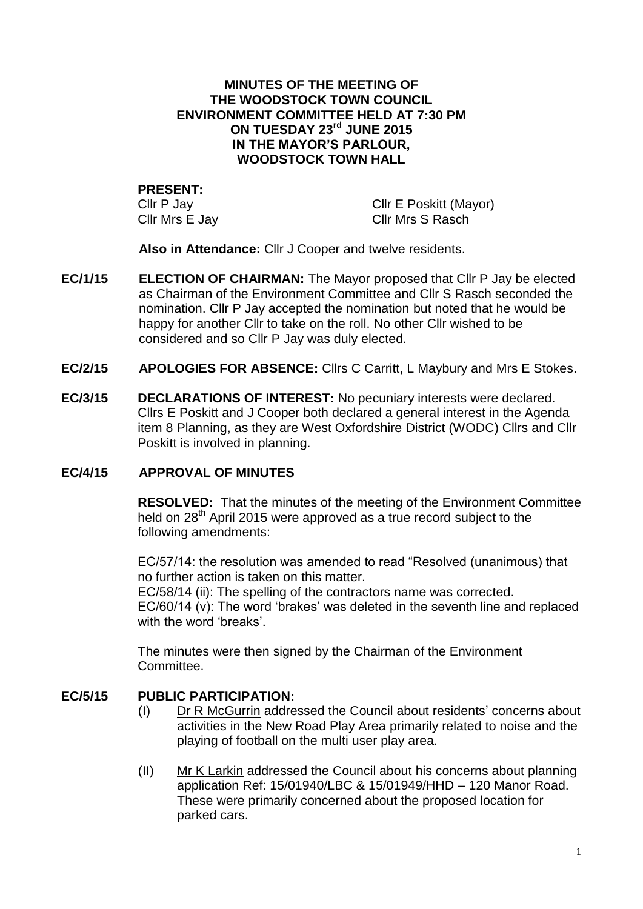#### **MINUTES OF THE MEETING OF THE WOODSTOCK TOWN COUNCIL ENVIRONMENT COMMITTEE HELD AT 7:30 PM ON TUESDAY 23 rd JUNE 2015 IN THE MAYOR'S PARLOUR, WOODSTOCK TOWN HALL**

# **PRESENT:**

Cllr P Jay<br>Cllr Mrs E Jav Cllr Mrs S Rasch<br>Cllr Mrs S Rasch Cllr Mrs S Rasch

**Also in Attendance:** Cllr J Cooper and twelve residents.

- **EC/1/15 ELECTION OF CHAIRMAN:** The Mayor proposed that Cllr P Jay be elected as Chairman of the Environment Committee and Cllr S Rasch seconded the nomination. Cllr P Jay accepted the nomination but noted that he would be happy for another Cllr to take on the roll. No other Cllr wished to be considered and so Cllr P Jay was duly elected.
- **EC/2/15 APOLOGIES FOR ABSENCE:** Cllrs C Carritt, L Maybury and Mrs E Stokes.
- **EC/3/15 DECLARATIONS OF INTEREST:** No pecuniary interests were declared. Cllrs E Poskitt and J Cooper both declared a general interest in the Agenda item 8 Planning, as they are West Oxfordshire District (WODC) Cllrs and Cllr Poskitt is involved in planning.

#### **EC/4/15 APPROVAL OF MINUTES**

**RESOLVED:** That the minutes of the meeting of the Environment Committee held on 28<sup>th</sup> April 2015 were approved as a true record subject to the following amendments:

EC/57/14: the resolution was amended to read "Resolved (unanimous) that no further action is taken on this matter.

EC/58/14 (ii): The spelling of the contractors name was corrected. EC/60/14 (v): The word 'brakes' was deleted in the seventh line and replaced with the word 'breaks'

The minutes were then signed by the Chairman of the Environment Committee.

## **EC/5/15 PUBLIC PARTICIPATION:**

- (I) Dr R McGurrin addressed the Council about residents' concerns about activities in the New Road Play Area primarily related to noise and the playing of football on the multi user play area.
- (II) Mr K Larkin addressed the Council about his concerns about planning application Ref: 15/01940/LBC & 15/01949/HHD – 120 Manor Road. These were primarily concerned about the proposed location for parked cars.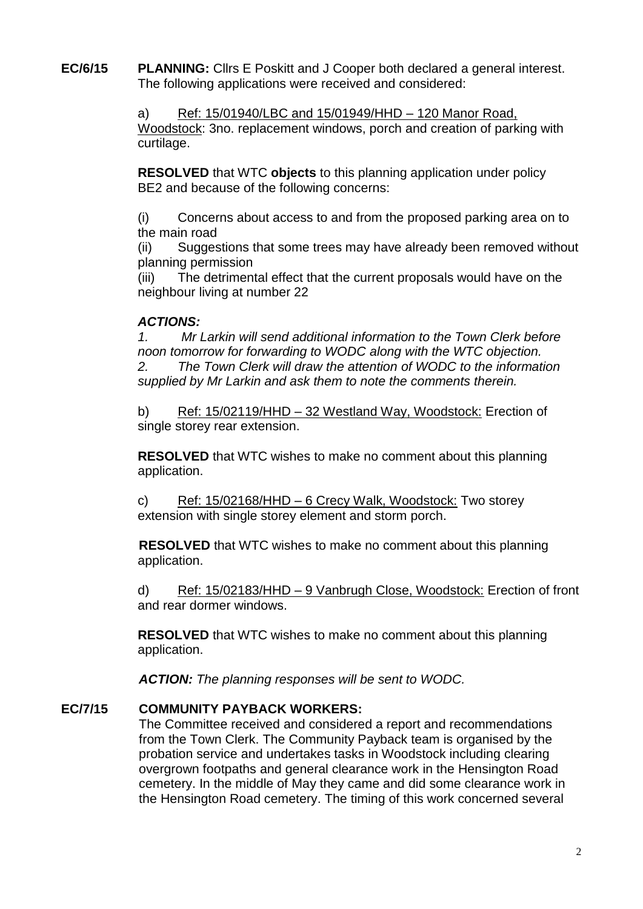**EC/6/15 PLANNING:** Cllrs E Poskitt and J Cooper both declared a general interest. The following applications were received and considered:

> a) Ref: 15/01940/LBC and 15/01949/HHD – 120 Manor Road, Woodstock: 3no. replacement windows, porch and creation of parking with curtilage.

**RESOLVED** that WTC **objects** to this planning application under policy BE2 and because of the following concerns:

(i) Concerns about access to and from the proposed parking area on to the main road

(ii) Suggestions that some trees may have already been removed without planning permission

(iii) The detrimental effect that the current proposals would have on the neighbour living at number 22

### *ACTIONS:*

*1. Mr Larkin will send additional information to the Town Clerk before noon tomorrow for forwarding to WODC along with the WTC objection. 2. The Town Clerk will draw the attention of WODC to the information supplied by Mr Larkin and ask them to note the comments therein.*

b) Ref: 15/02119/HHD – 32 Westland Way, Woodstock: Erection of single storey rear extension.

**RESOLVED** that WTC wishes to make no comment about this planning application.

c) Ref: 15/02168/HHD – 6 Crecy Walk, Woodstock: Two storey extension with single storey element and storm porch.

**RESOLVED** that WTC wishes to make no comment about this planning application.

d) Ref: 15/02183/HHD – 9 Vanbrugh Close, Woodstock: Erection of front and rear dormer windows.

**RESOLVED** that WTC wishes to make no comment about this planning application.

*ACTION: The planning responses will be sent to WODC.*

## **EC/7/15 COMMUNITY PAYBACK WORKERS:**

The Committee received and considered a report and recommendations from the Town Clerk. The Community Payback team is organised by the probation service and undertakes tasks in Woodstock including clearing overgrown footpaths and general clearance work in the Hensington Road cemetery. In the middle of May they came and did some clearance work in the Hensington Road cemetery. The timing of this work concerned several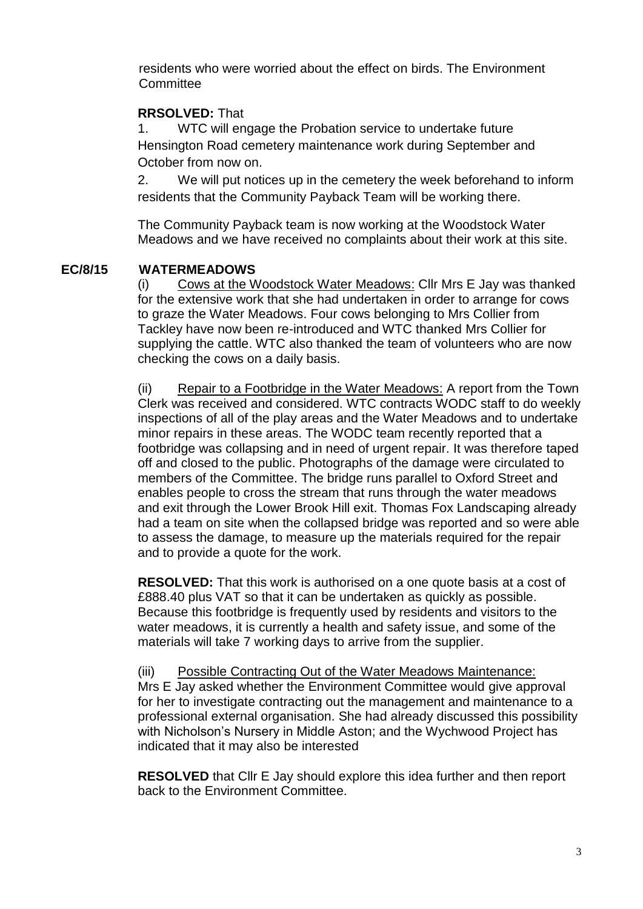residents who were worried about the effect on birds. The Environment **Committee** 

## **RRSOLVED:** That

1. WTC will engage the Probation service to undertake future Hensington Road cemetery maintenance work during September and October from now on.

2. We will put notices up in the cemetery the week beforehand to inform residents that the Community Payback Team will be working there.

The Community Payback team is now working at the Woodstock Water Meadows and we have received no complaints about their work at this site.

### **EC/8/15 WATERMEADOWS**

(i) Cows at the Woodstock Water Meadows: Cllr Mrs E Jay was thanked for the extensive work that she had undertaken in order to arrange for cows to graze the Water Meadows. Four cows belonging to Mrs Collier from Tackley have now been re-introduced and WTC thanked Mrs Collier for supplying the cattle. WTC also thanked the team of volunteers who are now checking the cows on a daily basis.

(ii) Repair to a Footbridge in the Water Meadows: A report from the Town Clerk was received and considered. WTC contracts WODC staff to do weekly inspections of all of the play areas and the Water Meadows and to undertake minor repairs in these areas. The WODC team recently reported that a footbridge was collapsing and in need of urgent repair. It was therefore taped off and closed to the public. Photographs of the damage were circulated to members of the Committee. The bridge runs parallel to Oxford Street and enables people to cross the stream that runs through the water meadows and exit through the Lower Brook Hill exit. Thomas Fox Landscaping already had a team on site when the collapsed bridge was reported and so were able to assess the damage, to measure up the materials required for the repair and to provide a quote for the work.

**RESOLVED:** That this work is authorised on a one quote basis at a cost of £888.40 plus VAT so that it can be undertaken as quickly as possible. Because this footbridge is frequently used by residents and visitors to the water meadows, it is currently a health and safety issue, and some of the materials will take 7 working days to arrive from the supplier.

(iii) Possible Contracting Out of the Water Meadows Maintenance: Mrs E Jay asked whether the Environment Committee would give approval for her to investigate contracting out the management and maintenance to a professional external organisation. She had already discussed this possibility with Nicholson's Nursery in Middle Aston; and the Wychwood Project has indicated that it may also be interested

**RESOLVED** that Cllr E Jay should explore this idea further and then report back to the Environment Committee.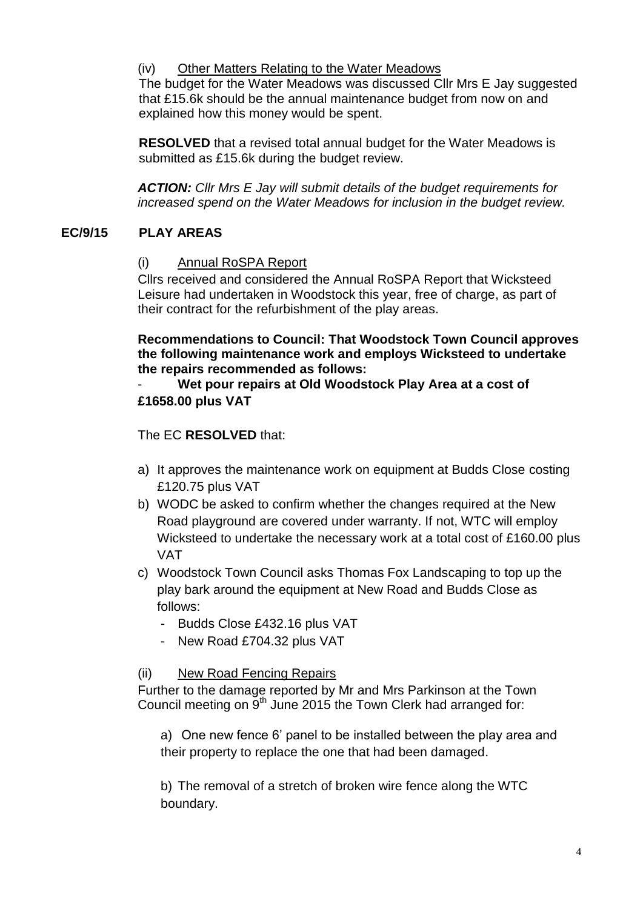## (iv) Other Matters Relating to the Water Meadows

The budget for the Water Meadows was discussed Cllr Mrs E Jay suggested that £15.6k should be the annual maintenance budget from now on and explained how this money would be spent.

**RESOLVED** that a revised total annual budget for the Water Meadows is submitted as £15.6k during the budget review.

*ACTION: Cllr Mrs E Jay will submit details of the budget requirements for increased spend on the Water Meadows for inclusion in the budget review.*

## **EC/9/15 PLAY AREAS**

### (i) Annual RoSPA Report

Cllrs received and considered the Annual RoSPA Report that Wicksteed Leisure had undertaken in Woodstock this year, free of charge, as part of their contract for the refurbishment of the play areas.

**Recommendations to Council: That Woodstock Town Council approves the following maintenance work and employs Wicksteed to undertake the repairs recommended as follows:**

- **Wet pour repairs at Old Woodstock Play Area at a cost of £1658.00 plus VAT**

The EC **RESOLVED** that:

- a) It approves the maintenance work on equipment at Budds Close costing £120.75 plus VAT
- b) WODC be asked to confirm whether the changes required at the New Road playground are covered under warranty. If not, WTC will employ Wicksteed to undertake the necessary work at a total cost of £160.00 plus VAT
- c) Woodstock Town Council asks Thomas Fox Landscaping to top up the play bark around the equipment at New Road and Budds Close as follows:
	- Budds Close £432.16 plus VAT
	- New Road £704.32 plus VAT

## (ii) New Road Fencing Repairs

Further to the damage reported by Mr and Mrs Parkinson at the Town Council meeting on 9<sup>th</sup> June 2015 the Town Clerk had arranged for:

a) One new fence 6' panel to be installed between the play area and their property to replace the one that had been damaged.

b) The removal of a stretch of broken wire fence along the WTC boundary.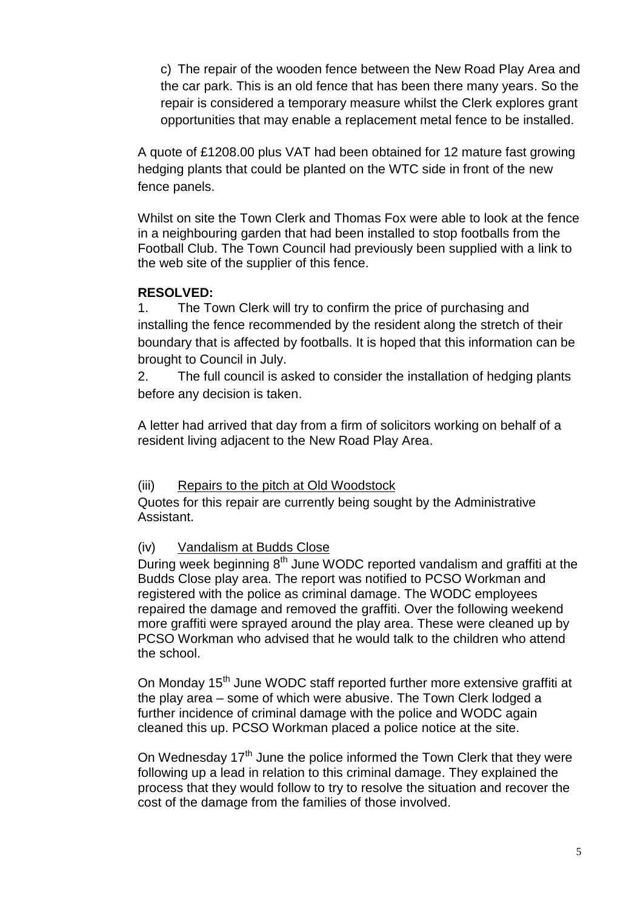c) The repair of the wooden fence between the New Road Play Area and the car park. This is an old fence that has been there many years. So the repair is considered a temporary measure whilst the Clerk explores grant opportunities that may enable a replacement metal fence to be installed.

A quote of £1208.00 plus VAT had been obtained for 12 mature fast growing hedging plants that could be planted on the WTC side in front of the new fence panels.

Whilst on site the Town Clerk and Thomas Fox were able to look at the fence in a neighbouring garden that had been installed to stop footballs from the Football Club. The Town Council had previously been supplied with a link to the web site of the supplier of this fence.

### **RESOLVED:**

1. The Town Clerk will try to confirm the price of purchasing and installing the fence recommended by the resident along the stretch of their boundary that is affected by footballs. It is hoped that this information can be brought to Council in July.

2. The full council is asked to consider the installation of hedging plants before any decision is taken.

A letter had arrived that day from a firm of solicitors working on behalf of a resident living adjacent to the New Road Play Area.

#### (iii) Repairs to the pitch at Old Woodstock

Quotes for this repair are currently being sought by the Administrative Assistant.

#### (iv) Vandalism at Budds Close

During week beginning  $8<sup>th</sup>$  June WODC reported vandalism and graffiti at the Budds Close play area. The report was notified to PCSO Workman and registered with the police as criminal damage. The WODC employees repaired the damage and removed the graffiti. Over the following weekend more graffiti were sprayed around the play area. These were cleaned up by PCSO Workman who advised that he would talk to the children who attend the school.

On Monday 15<sup>th</sup> June WODC staff reported further more extensive graffiti at the play area – some of which were abusive. The Town Clerk lodged a further incidence of criminal damage with the police and WODC again cleaned this up. PCSO Workman placed a police notice at the site.

On Wednesday  $17<sup>th</sup>$  June the police informed the Town Clerk that they were following up a lead in relation to this criminal damage. They explained the process that they would follow to try to resolve the situation and recover the cost of the damage from the families of those involved.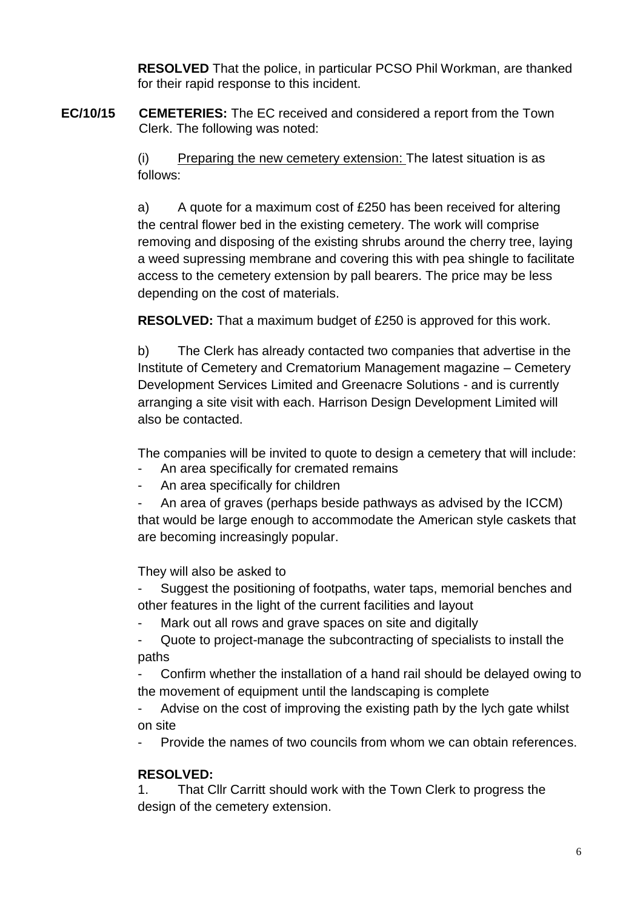**RESOLVED** That the police, in particular PCSO Phil Workman, are thanked for their rapid response to this incident.

**EC/10/15 CEMETERIES:** The EC received and considered a report from the Town Clerk. The following was noted:

> (i) Preparing the new cemetery extension: The latest situation is as follows:

a) A quote for a maximum cost of £250 has been received for altering the central flower bed in the existing cemetery. The work will comprise removing and disposing of the existing shrubs around the cherry tree, laying a weed supressing membrane and covering this with pea shingle to facilitate access to the cemetery extension by pall bearers. The price may be less depending on the cost of materials.

**RESOLVED:** That a maximum budget of £250 is approved for this work.

b) The Clerk has already contacted two companies that advertise in the Institute of Cemetery and Crematorium Management magazine – Cemetery Development Services Limited and Greenacre Solutions - and is currently arranging a site visit with each. Harrison Design Development Limited will also be contacted.

The companies will be invited to quote to design a cemetery that will include:

- An area specifically for cremated remains
- An area specifically for children
- An area of graves (perhaps beside pathways as advised by the ICCM) that would be large enough to accommodate the American style caskets that are becoming increasingly popular.

They will also be asked to

Suggest the positioning of footpaths, water taps, memorial benches and other features in the light of the current facilities and layout

- Mark out all rows and grave spaces on site and digitally

- Quote to project-manage the subcontracting of specialists to install the paths

Confirm whether the installation of a hand rail should be delayed owing to the movement of equipment until the landscaping is complete

Advise on the cost of improving the existing path by the lych gate whilst on site

- Provide the names of two councils from whom we can obtain references.

# **RESOLVED:**

1. That Cllr Carritt should work with the Town Clerk to progress the design of the cemetery extension.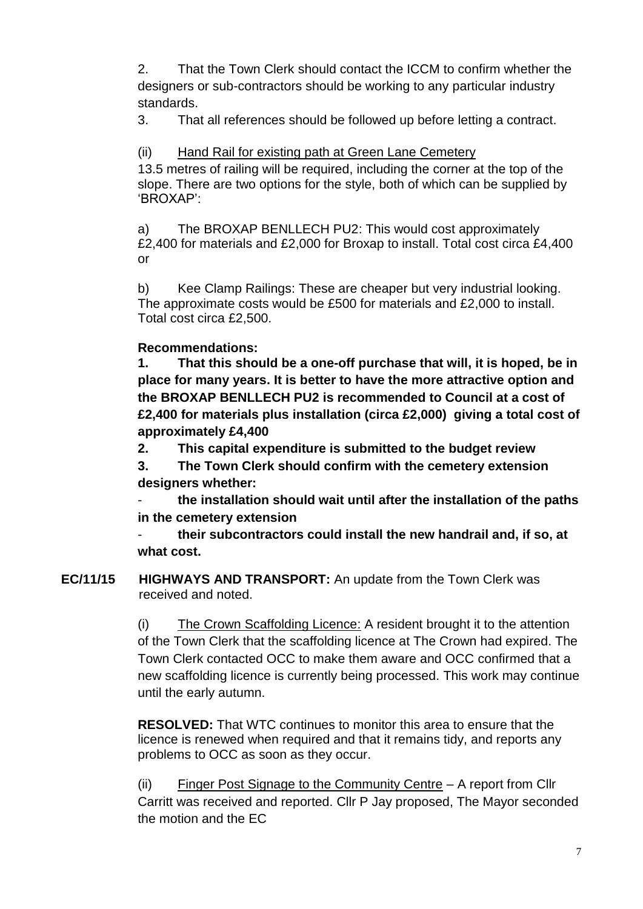2. That the Town Clerk should contact the ICCM to confirm whether the designers or sub-contractors should be working to any particular industry standards.

3. That all references should be followed up before letting a contract.

# (ii) Hand Rail for existing path at Green Lane Cemetery

13.5 metres of railing will be required, including the corner at the top of the slope. There are two options for the style, both of which can be supplied by 'BROXAP':

a) The BROXAP BENLLECH PU2: This would cost approximately £2,400 for materials and £2,000 for Broxap to install. Total cost circa £4,400 or

b) Kee Clamp Railings: These are cheaper but very industrial looking. The approximate costs would be £500 for materials and £2,000 to install. Total cost circa £2,500.

# **Recommendations:**

**1. That this should be a one-off purchase that will, it is hoped, be in place for many years. It is better to have the more attractive option and the BROXAP BENLLECH PU2 is recommended to Council at a cost of £2,400 for materials plus installation (circa £2,000) giving a total cost of approximately £4,400**

**2. This capital expenditure is submitted to the budget review** 

**3. The Town Clerk should confirm with the cemetery extension designers whether:** 

- **the installation should wait until after the installation of the paths in the cemetery extension**

- **their subcontractors could install the new handrail and, if so, at what cost.**

**EC/11/15 HIGHWAYS AND TRANSPORT:** An update from the Town Clerk was received and noted.

> (i) The Crown Scaffolding Licence: A resident brought it to the attention of the Town Clerk that the scaffolding licence at The Crown had expired. The Town Clerk contacted OCC to make them aware and OCC confirmed that a new scaffolding licence is currently being processed. This work may continue until the early autumn.

**RESOLVED:** That WTC continues to monitor this area to ensure that the licence is renewed when required and that it remains tidy, and reports any problems to OCC as soon as they occur.

(ii) Finger Post Signage to the Community Centre – A report from Cllr Carritt was received and reported. Cllr P Jay proposed, The Mayor seconded the motion and the EC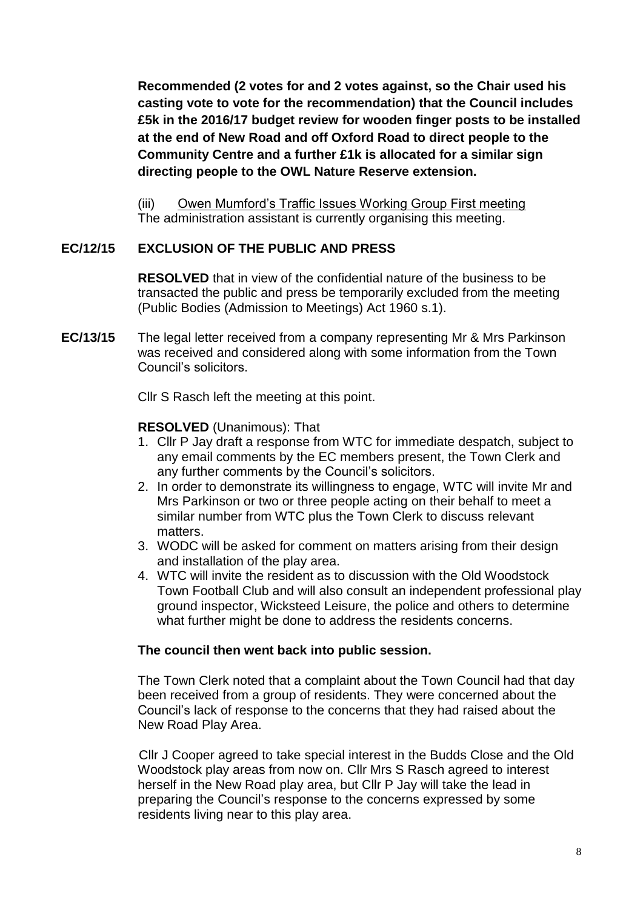**Recommended (2 votes for and 2 votes against, so the Chair used his casting vote to vote for the recommendation) that the Council includes £5k in the 2016/17 budget review for wooden finger posts to be installed at the end of New Road and off Oxford Road to direct people to the Community Centre and a further £1k is allocated for a similar sign directing people to the OWL Nature Reserve extension.**

(iii) Owen Mumford's Traffic Issues Working Group First meeting The administration assistant is currently organising this meeting.

## **EC/12/15 EXCLUSION OF THE PUBLIC AND PRESS**

**RESOLVED** that in view of the confidential nature of the business to be transacted the public and press be temporarily excluded from the meeting (Public Bodies (Admission to Meetings) Act 1960 s.1).

**EC/13/15** The legal letter received from a company representing Mr & Mrs Parkinson was received and considered along with some information from the Town Council's solicitors.

Cllr S Rasch left the meeting at this point.

## **RESOLVED** (Unanimous): That

- 1. Cllr P Jay draft a response from WTC for immediate despatch, subject to any email comments by the EC members present, the Town Clerk and any further comments by the Council's solicitors.
- 2. In order to demonstrate its willingness to engage, WTC will invite Mr and Mrs Parkinson or two or three people acting on their behalf to meet a similar number from WTC plus the Town Clerk to discuss relevant matters.
- 3. WODC will be asked for comment on matters arising from their design and installation of the play area.
- 4. WTC will invite the resident as to discussion with the Old Woodstock Town Football Club and will also consult an independent professional play ground inspector, Wicksteed Leisure, the police and others to determine what further might be done to address the residents concerns.

#### **The council then went back into public session.**

The Town Clerk noted that a complaint about the Town Council had that day been received from a group of residents. They were concerned about the Council's lack of response to the concerns that they had raised about the New Road Play Area.

Cllr J Cooper agreed to take special interest in the Budds Close and the Old Woodstock play areas from now on. Cllr Mrs S Rasch agreed to interest herself in the New Road play area, but Cllr P Jay will take the lead in preparing the Council's response to the concerns expressed by some residents living near to this play area.